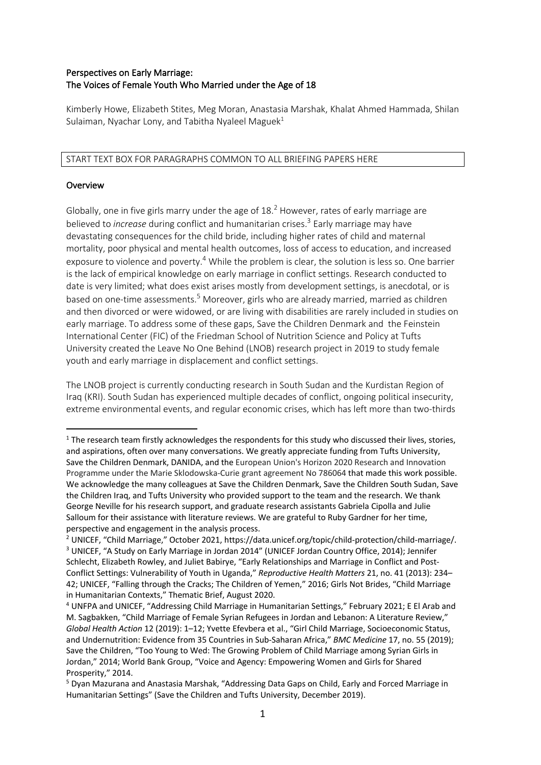# Perspectives on Early Marriage: The Voices of Female Youth Who Married under the Age of 18

Kimberly Howe, Elizabeth Stites, Meg Moran, Anastasia Marshak, Khalat Ahmed Hammada, Shilan Sulaiman, Nyachar Lony, and Tabitha Nyaleel Maguek<sup>1</sup>

START TEXT BOX FOR PARAGRAPHS COMMON TO ALL BRIEFING PAPERS HERE

### **Overview**

Globally, one in five girls marry under the age of 18.<sup>2</sup> However, rates of early marriage are believed to *increase* during conflict and humanitarian crises.3 Early marriage may have devastating consequences for the child bride, including higher rates of child and maternal mortality, poor physical and mental health outcomes, loss of access to education, and increased exposure to violence and poverty.<sup>4</sup> While the problem is clear, the solution is less so. One barrier is the lack of empirical knowledge on early marriage in conflict settings. Research conducted to date is very limited; what does exist arises mostly from development settings, is anecdotal, or is based on one-time assessments.<sup>5</sup> Moreover, girls who are already married, married as children and then divorced or were widowed, or are living with disabilities are rarely included in studies on early marriage. To address some of these gaps, Save the Children Denmark and the Feinstein International Center (FIC) of the Friedman School of Nutrition Science and Policy at Tufts University created the Leave No One Behind (LNOB) research project in 2019 to study female youth and early marriage in displacement and conflict settings.

The LNOB project is currently conducting research in South Sudan and the Kurdistan Region of Iraq (KRI). South Sudan has experienced multiple decades of conflict, ongoing political insecurity, extreme environmental events, and regular economic crises, which has left more than two-thirds

<sup>&</sup>lt;sup>1</sup> The research team firstly acknowledges the respondents for this study who discussed their lives, stories, and aspirations, often over many conversations. We greatly appreciate funding from Tufts University, Save the Children Denmark, DANIDA, and the European Union's Horizon 2020 Research and Innovation Programme under the Marie Sklodowska-Curie grant agreement No 786064 that made this work possible. We acknowledge the many colleagues at Save the Children Denmark, Save the Children South Sudan, Save the Children Iraq, and Tufts University who provided support to the team and the research. We thank George Neville for his research support, and graduate research assistants Gabriela Cipolla and Julie Salloum for their assistance with literature reviews. We are grateful to Ruby Gardner for her time, perspective and engagement in the analysis process.

<sup>&</sup>lt;sup>2</sup> UNICEF, "Child Marriage," October 2021, https://data.unicef.org/topic/child-protection/child-marriage/. <sup>3</sup> UNICEF, "A Study on Early Marriage in Jordan 2014" (UNICEF Jordan Country Office, 2014); Jennifer Schlecht, Elizabeth Rowley, and Juliet Babirye, "Early Relationships and Marriage in Conflict and Post-Conflict Settings: Vulnerability of Youth in Uganda," *Reproductive Health Matters* 21, no. 41 (2013): 234– 42; UNICEF, "Falling through the Cracks; The Children of Yemen," 2016; Girls Not Brides, "Child Marriage in Humanitarian Contexts," Thematic Brief, August 2020.

<sup>4</sup> UNFPA and UNICEF, "Addressing Child Marriage in Humanitarian Settings," February 2021; E El Arab and M. Sagbakken, "Child Marriage of Female Syrian Refugees in Jordan and Lebanon: A Literature Review," *Global Health Action* 12 (2019): 1–12; Yvette Efevbera et al., "Girl Child Marriage, Socioeconomic Status, and Undernutrition: Evidence from 35 Countries in Sub-Saharan Africa," *BMC Medicine* 17, no. 55 (2019); Save the Children, "Too Young to Wed: The Growing Problem of Child Marriage among Syrian Girls in Jordan," 2014; World Bank Group, "Voice and Agency: Empowering Women and Girls for Shared Prosperity," 2014.

<sup>5</sup> Dyan Mazurana and Anastasia Marshak, "Addressing Data Gaps on Child, Early and Forced Marriage in Humanitarian Settings" (Save the Children and Tufts University, December 2019).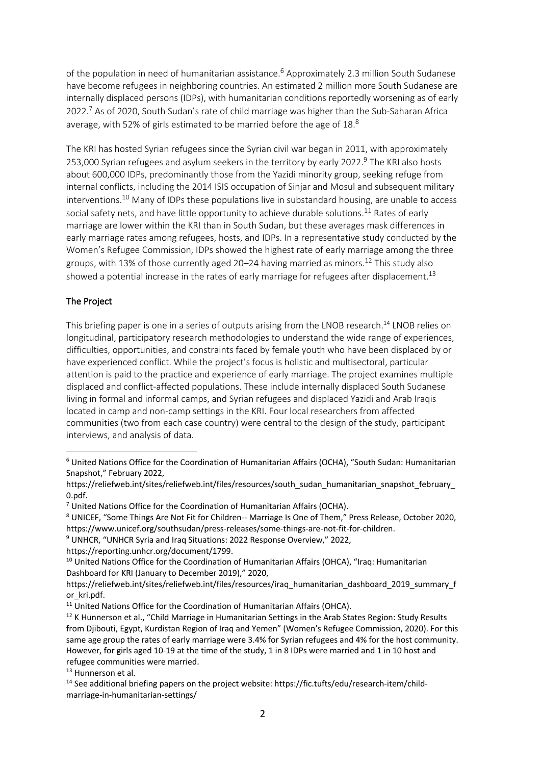of the population in need of humanitarian assistance.<sup>6</sup> Approximately 2.3 million South Sudanese have become refugees in neighboring countries. An estimated 2 million more South Sudanese are internally displaced persons (IDPs), with humanitarian conditions reportedly worsening as of early 2022.<sup>7</sup> As of 2020, South Sudan's rate of child marriage was higher than the Sub-Saharan Africa average, with 52% of girls estimated to be married before the age of 18.8

The KRI has hosted Syrian refugees since the Syrian civil war began in 2011, with approximately 253,000 Syrian refugees and asylum seekers in the territory by early 2022.<sup>9</sup> The KRI also hosts about 600,000 IDPs, predominantly those from the Yazidi minority group, seeking refuge from internal conflicts, including the 2014 ISIS occupation of Sinjar and Mosul and subsequent military interventions.<sup>10</sup> Many of IDPs these populations live in substandard housing, are unable to access social safety nets, and have little opportunity to achieve durable solutions.<sup>11</sup> Rates of early marriage are lower within the KRI than in South Sudan, but these averages mask differences in early marriage rates among refugees, hosts, and IDPs. In a representative study conducted by the Women's Refugee Commission, IDPs showed the highest rate of early marriage among the three groups, with 13% of those currently aged 20–24 having married as minors.<sup>12</sup> This study also showed a potential increase in the rates of early marriage for refugees after displacement.<sup>13</sup>

# The Project

This briefing paper is one in a series of outputs arising from the LNOB research.<sup>14</sup> LNOB relies on longitudinal, participatory research methodologies to understand the wide range of experiences, difficulties, opportunities, and constraints faced by female youth who have been displaced by or have experienced conflict. While the project's focus is holistic and multisectoral, particular attention is paid to the practice and experience of early marriage. The project examines multiple displaced and conflict-affected populations. These include internally displaced South Sudanese living in formal and informal camps, and Syrian refugees and displaced Yazidi and Arab Iraqis located in camp and non-camp settings in the KRI. Four local researchers from affected communities (two from each case country) were central to the design of the study, participant interviews, and analysis of data.

<sup>6</sup> United Nations Office for the Coordination of Humanitarian Affairs (OCHA), "South Sudan: Humanitarian Snapshot," February 2022,

https://reliefweb.int/sites/reliefweb.int/files/resources/south\_sudan\_humanitarian\_snapshot\_february 0.pdf.

 $7$  United Nations Office for the Coordination of Humanitarian Affairs (OCHA).

<sup>8</sup> UNICEF, "Some Things Are Not Fit for Children-- Marriage Is One of Them," Press Release, October 2020, https://www.unicef.org/southsudan/press-releases/some-things-are-not-fit-for-children.

<sup>9</sup> UNHCR, "UNHCR Syria and Iraq Situations: 2022 Response Overview," 2022,

https://reporting.unhcr.org/document/1799.

<sup>&</sup>lt;sup>10</sup> United Nations Office for the Coordination of Humanitarian Affairs (OHCA), "Iraq: Humanitarian Dashboard for KRI (January to December 2019)," 2020,

https://reliefweb.int/sites/reliefweb.int/files/resources/iraq\_humanitarian\_dashboard\_2019\_summary\_f or\_kri.pdf.

<sup>&</sup>lt;sup>11</sup> United Nations Office for the Coordination of Humanitarian Affairs (OHCA).

<sup>&</sup>lt;sup>12</sup> K Hunnerson et al., "Child Marriage in Humanitarian Settings in the Arab States Region: Study Results from Djibouti, Egypt, Kurdistan Region of Iraq and Yemen" (Women's Refugee Commission, 2020). For this same age group the rates of early marriage were 3.4% for Syrian refugees and 4% for the host community. However, for girls aged 10-19 at the time of the study, 1 in 8 IDPs were married and 1 in 10 host and refugee communities were married.

<sup>13</sup> Hunnerson et al.

<sup>14</sup> See additional briefing papers on the project website: https://fic.tufts/edu/research-item/childmarriage-in-humanitarian-settings/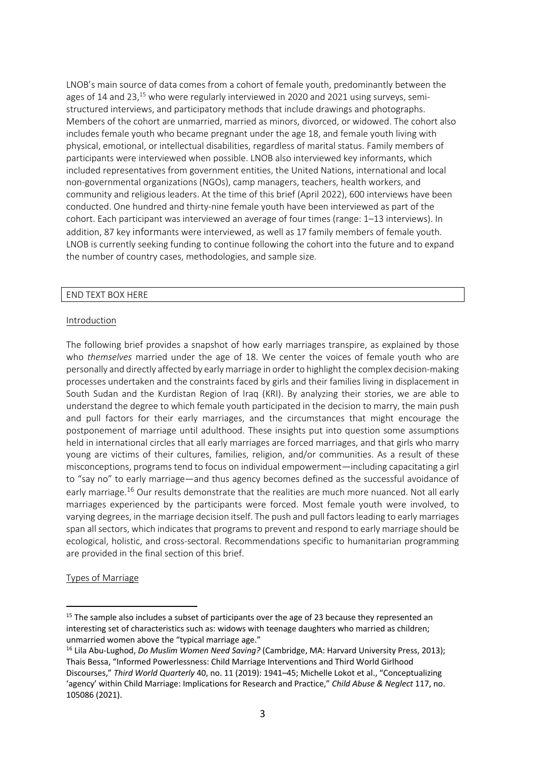LNOB's main source of data comes from a cohort of female youth, predominantly between the ages of 14 and 23.<sup>15</sup> who were regularly interviewed in 2020 and 2021 using surveys, semistructured interviews, and participatory methods that include drawings and photographs. Members of the cohort are unmarried, married as minors, divorced, or widowed. The cohort also includes female youth who became pregnant under the age 18, and female youth living with physical, emotional, or intellectual disabilities, regardless of marital status. Family members of participants were interviewed when possible. LNOB also interviewed key informants, which included representatives from government entities, the United Nations, international and local non-governmental organizations (NGOs), camp managers, teachers, health workers, and community and religious leaders. At the time of this brief (April 2022), 600 interviews have been conducted. One hundred and thirty-nine female youth have been interviewed as part of the cohort. Each participant was interviewed an average of four times (range: 1–13 interviews). In addition, 87 key informants were interviewed, as well as 17 family members of female youth. LNOB is currently seeking funding to continue following the cohort into the future and to expand the number of country cases, methodologies, and sample size.

### END TEXT BOX HERE

#### Introduction

The following brief provides a snapshot of how early marriages transpire, as explained by those who *themselves* married under the age of 18. We center the voices of female youth who are personally and directly affected by early marriage in order to highlight the complex decision-making processes undertaken and the constraints faced by girls and their families living in displacement in South Sudan and the Kurdistan Region of Iraq (KRI). By analyzing their stories, we are able to understand the degree to which female youth participated in the decision to marry, the main push and pull factors for their early marriages, and the circumstances that might encourage the postponement of marriage until adulthood. These insights put into question some assumptions held in international circles that all early marriages are forced marriages, and that girls who marry young are victims of their cultures, families, religion, and/or communities. As a result of these misconceptions, programs tend to focus on individual empowerment—including capacitating a girl to "say no" to early marriage—and thus agency becomes defined as the successful avoidance of early marriage.<sup>16</sup> Our results demonstrate that the realities are much more nuanced. Not all early marriages experienced by the participants were forced. Most female youth were involved, to varying degrees, in the marriage decision itself. The push and pull factors leading to early marriages span all sectors, which indicates that programs to prevent and respond to early marriage should be ecological, holistic, and cross-sectoral. Recommendations specific to humanitarian programming are provided in the final section of this brief.

Types of Marriage

<sup>&</sup>lt;sup>15</sup> The sample also includes a subset of participants over the age of 23 because they represented an interesting set of characteristics such as: widows with teenage daughters who married as children; unmarried women above the "typical marriage age."

<sup>16</sup> Lila Abu-Lughod, *Do Muslim Women Need Saving?* (Cambridge, MA: Harvard University Press, 2013); Thais Bessa, "Informed Powerlessness: Child Marriage Interventions and Third World Girlhood Discourses," *Third World Quarterly* 40, no. 11 (2019): 1941–45; Michelle Lokot et al., "Conceptualizing 'agency' within Child Marriage: Implications for Research and Practice," *Child Abuse & Neglect* 117, no. 105086 (2021).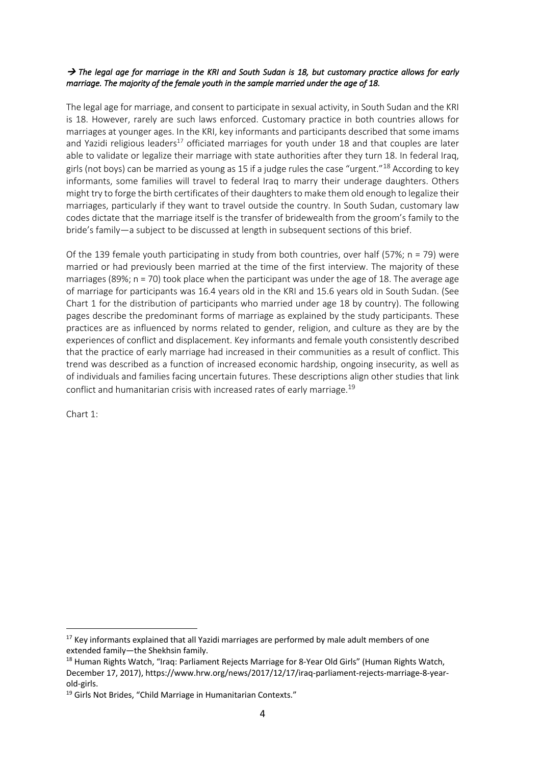### → The legal age for marriage in the KRI and South Sudan is 18, but customary practice allows for early *marriage. The majority of the female youth in the sample married under the age of 18.*

The legal age for marriage, and consent to participate in sexual activity, in South Sudan and the KRI is 18. However, rarely are such laws enforced. Customary practice in both countries allows for marriages at younger ages. In the KRI, key informants and participants described that some imams and Yazidi religious leaders<sup>17</sup> officiated marriages for youth under 18 and that couples are later able to validate or legalize their marriage with state authorities after they turn 18. In federal Iraq, girls (not boys) can be married as young as 15 if a judge rules the case "urgent."<sup>18</sup> According to key informants, some families will travel to federal Iraq to marry their underage daughters. Others might try to forge the birth certificates of their daughters to make them old enough to legalize their marriages, particularly if they want to travel outside the country. In South Sudan, customary law codes dictate that the marriage itself is the transfer of bridewealth from the groom's family to the bride's family—a subject to be discussed at length in subsequent sections of this brief.

Of the 139 female youth participating in study from both countries, over half (57%; n = 79) were married or had previously been married at the time of the first interview. The majority of these marriages (89%;  $n = 70$ ) took place when the participant was under the age of 18. The average age of marriage for participants was 16.4 years old in the KRI and 15.6 years old in South Sudan. (See Chart 1 for the distribution of participants who married under age 18 by country). The following pages describe the predominant forms of marriage as explained by the study participants. These practices are as influenced by norms related to gender, religion, and culture as they are by the experiences of conflict and displacement. Key informants and female youth consistently described that the practice of early marriage had increased in their communities as a result of conflict. This trend was described as a function of increased economic hardship, ongoing insecurity, as well as of individuals and families facing uncertain futures. These descriptions align other studies that link conflict and humanitarian crisis with increased rates of early marriage.<sup>19</sup>

Chart 1:

<sup>&</sup>lt;sup>17</sup> Key informants explained that all Yazidi marriages are performed by male adult members of one

extended family—the Shekhsin family.<br><sup>18</sup> Human Rights Watch, "Iraq: Parliament Rejects Marriage for 8-Year Old Girls" (Human Rights Watch, December 17, 2017), https://www.hrw.org/news/2017/12/17/iraq-parliament-rejects-marriage-8-yearold-girls.

<sup>&</sup>lt;sup>19</sup> Girls Not Brides, "Child Marriage in Humanitarian Contexts."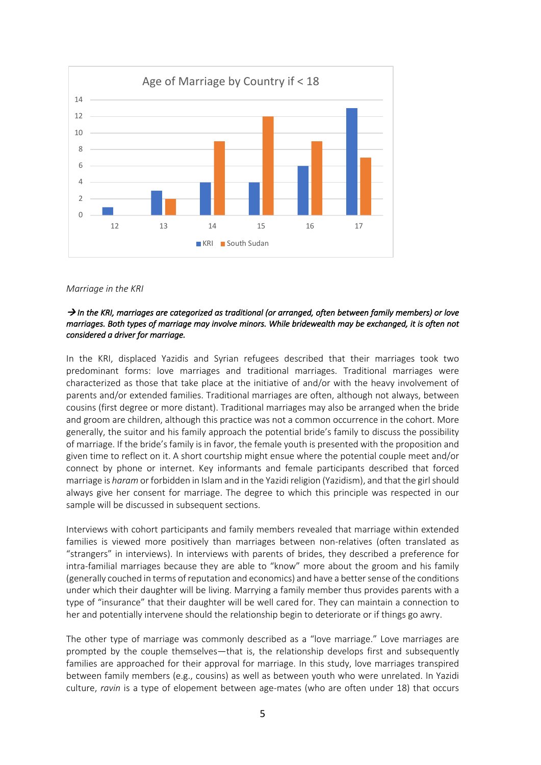

#### *Marriage in the KRI*

#### → In the KRI, marriages are categorized as traditional (or arranged, often between family members) or love *marriages. Both types of marriage may involve minors. While bridewealth may be exchanged, it is often not considered a driver for marriage.*

In the KRI, displaced Yazidis and Syrian refugees described that their marriages took two predominant forms: love marriages and traditional marriages. Traditional marriages were characterized as those that take place at the initiative of and/or with the heavy involvement of parents and/or extended families. Traditional marriages are often, although not always, between cousins (first degree or more distant). Traditional marriages may also be arranged when the bride and groom are children, although this practice was not a common occurrence in the cohort. More generally, the suitor and his family approach the potential bride's family to discuss the possibility of marriage. If the bride's family is in favor, the female youth is presented with the proposition and given time to reflect on it. A short courtship might ensue where the potential couple meet and/or connect by phone or internet. Key informants and female participants described that forced marriage is *haram* or forbidden in Islam and in the Yazidi religion (Yazidism), and that the girl should always give her consent for marriage. The degree to which this principle was respected in our sample will be discussed in subsequent sections.

Interviews with cohort participants and family members revealed that marriage within extended families is viewed more positively than marriages between non-relatives (often translated as "strangers" in interviews). In interviews with parents of brides, they described a preference for intra-familial marriages because they are able to "know" more about the groom and his family (generally couched in terms of reputation and economics) and have a better sense of the conditions under which their daughter will be living. Marrying a family member thus provides parents with a type of "insurance" that their daughter will be well cared for. They can maintain a connection to her and potentially intervene should the relationship begin to deteriorate or if things go awry.

The other type of marriage was commonly described as a "love marriage." Love marriages are prompted by the couple themselves—that is, the relationship develops first and subsequently families are approached for their approval for marriage. In this study, love marriages transpired between family members (e.g., cousins) as well as between youth who were unrelated. In Yazidi culture, *ravin* is a type of elopement between age-mates (who are often under 18) that occurs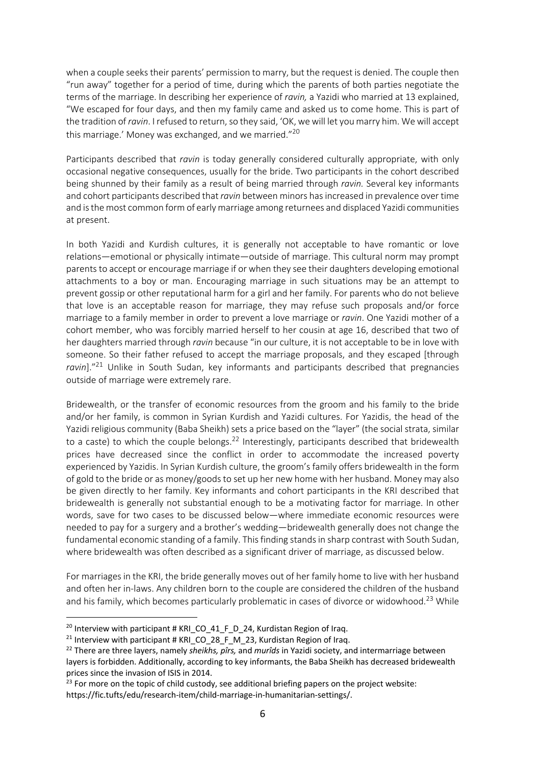when a couple seeks their parents' permission to marry, but the request is denied. The couple then "run away" together for a period of time, during which the parents of both parties negotiate the terms of the marriage. In describing her experience of *ravin,* a Yazidi who married at 13 explained, "We escaped for four days, and then my family came and asked us to come home. This is part of the tradition of *ravin*. I refused to return, so they said, 'OK, we will let you marry him. We will accept this marriage.' Money was exchanged, and we married."<sup>20</sup>

Participants described that *ravin* is today generally considered culturally appropriate, with only occasional negative consequences, usually for the bride. Two participants in the cohort described being shunned by their family as a result of being married through *ravin.* Several key informants and cohort participants described that *ravin* between minors has increased in prevalence over time and is the most common form of early marriage among returnees and displaced Yazidi communities at present.

In both Yazidi and Kurdish cultures, it is generally not acceptable to have romantic or love relations—emotional or physically intimate—outside of marriage. This cultural norm may prompt parents to accept or encourage marriage if or when they see their daughters developing emotional attachments to a boy or man. Encouraging marriage in such situations may be an attempt to prevent gossip or other reputational harm for a girl and her family. For parents who do not believe that love is an acceptable reason for marriage, they may refuse such proposals and/or force marriage to a family member in order to prevent a love marriage or *ravin*. One Yazidi mother of a cohort member, who was forcibly married herself to her cousin at age 16, described that two of her daughters married through *ravin* because "in our culture, it is not acceptable to be in love with someone. So their father refused to accept the marriage proposals, and they escaped [through *ravin*]."21 Unlike in South Sudan, key informants and participants described that pregnancies outside of marriage were extremely rare.

Bridewealth, or the transfer of economic resources from the groom and his family to the bride and/or her family, is common in Syrian Kurdish and Yazidi cultures. For Yazidis, the head of the Yazidi religious community (Baba Sheikh) sets a price based on the "layer" (the social strata, similar to a caste) to which the couple belongs.<sup>22</sup> Interestingly, participants described that bridewealth prices have decreased since the conflict in order to accommodate the increased poverty experienced by Yazidis. In Syrian Kurdish culture, the groom's family offers bridewealth in the form of gold to the bride or as money/goods to set up her new home with her husband. Money may also be given directly to her family. Key informants and cohort participants in the KRI described that bridewealth is generally not substantial enough to be a motivating factor for marriage. In other words, save for two cases to be discussed below—where immediate economic resources were needed to pay for a surgery and a brother's wedding—bridewealth generally does not change the fundamental economic standing of a family. This finding stands in sharp contrast with South Sudan, where bridewealth was often described as a significant driver of marriage, as discussed below.

For marriages in the KRI, the bride generally moves out of her family home to live with her husband and often her in-laws. Any children born to the couple are considered the children of the husband and his family, which becomes particularly problematic in cases of divorce or widowhood.<sup>23</sup> While

<sup>&</sup>lt;sup>20</sup> Interview with participant # KRI CO 41 F D 24, Kurdistan Region of Iraq.

<sup>&</sup>lt;sup>21</sup> Interview with participant # KRI CO 28 F M 23, Kurdistan Region of Iraq.

<sup>22</sup> There are three layers, namely *sheikhs, pîrs,* and *murîds* in Yazidi society, and intermarriage between layers is forbidden. Additionally, according to key informants, the Baba Sheikh has decreased bridewealth prices since the invasion of ISIS in 2014.

 $23$  For more on the topic of child custody, see additional briefing papers on the project website: https://fic.tufts/edu/research-item/child-marriage-in-humanitarian-settings/.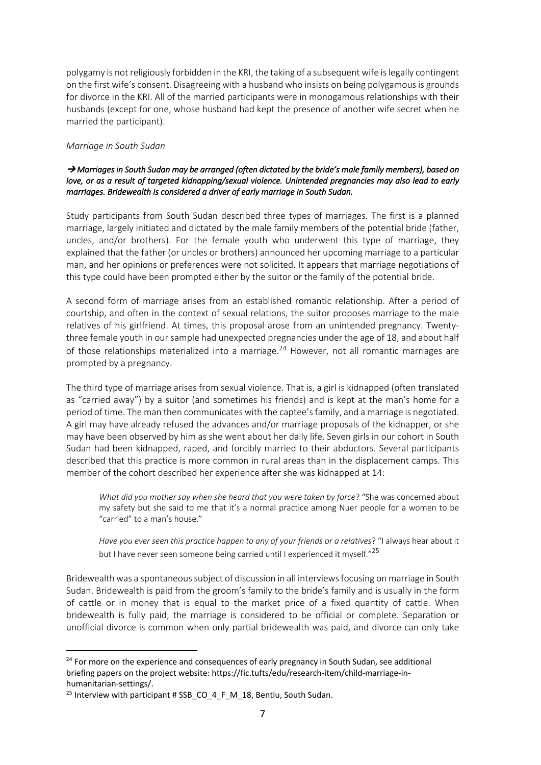polygamy is not religiously forbidden in the KRI, the taking of a subsequent wife is legally contingent on the first wife's consent. Disagreeing with a husband who insists on being polygamous is grounds for divorce in the KRI. All of the married participants were in monogamous relationships with their husbands (except for one, whose husband had kept the presence of another wife secret when he married the participant).

### *Marriage in South Sudan*

### à *Marriages in South Sudan may be arranged (often dictated by the bride's male family members), based on love, or as a result of targeted kidnapping/sexual violence. Unintended pregnancies may also lead to early marriages. Bridewealth is considered a driver of early marriage in South Sudan.*

Study participants from South Sudan described three types of marriages. The first is a planned marriage, largely initiated and dictated by the male family members of the potential bride (father, uncles, and/or brothers). For the female youth who underwent this type of marriage, they explained that the father (or uncles or brothers) announced her upcoming marriage to a particular man, and her opinions or preferences were not solicited. It appears that marriage negotiations of this type could have been prompted either by the suitor or the family of the potential bride.

A second form of marriage arises from an established romantic relationship. After a period of courtship, and often in the context of sexual relations, the suitor proposes marriage to the male relatives of his girlfriend. At times, this proposal arose from an unintended pregnancy. Twentythree female youth in our sample had unexpected pregnancies under the age of 18, and about half of those relationships materialized into a marriage.<sup>24</sup> However, not all romantic marriages are prompted by a pregnancy.

The third type of marriage arises from sexual violence. That is, a girl is kidnapped (often translated as "carried away") by a suitor (and sometimes his friends) and is kept at the man's home for a period of time. The man then communicates with the captee'sfamily, and a marriage is negotiated. A girl may have already refused the advances and/or marriage proposals of the kidnapper, or she may have been observed by him as she went about her daily life. Seven girls in our cohort in South Sudan had been kidnapped, raped, and forcibly married to their abductors. Several participants described that this practice is more common in rural areas than in the displacement camps. This member of the cohort described her experience after she was kidnapped at 14:

*What did you mother say when she heard that you were taken by force*? "She was concerned about my safety but she said to me that it's a normal practice among Nuer people for a women to be "carried" to a man's house."

*Have you ever seen this practice happen to any of your friends or a relatives*? "I always hear about it but I have never seen someone being carried until I experienced it myself."<sup>25</sup>

Bridewealth was a spontaneous subject of discussion in all interviews focusing on marriage in South Sudan. Bridewealth is paid from the groom's family to the bride's family and is usually in the form of cattle or in money that is equal to the market price of a fixed quantity of cattle. When bridewealth is fully paid, the marriage is considered to be official or complete. Separation or unofficial divorce is common when only partial bridewealth was paid, and divorce can only take

<sup>&</sup>lt;sup>24</sup> For more on the experience and consequences of early pregnancy in South Sudan, see additional briefing papers on the project website: https://fic.tufts/edu/research-item/child-marriage-inhumanitarian-settings/.

<sup>&</sup>lt;sup>25</sup> Interview with participant # SSB\_CO\_4\_F\_M\_18, Bentiu, South Sudan.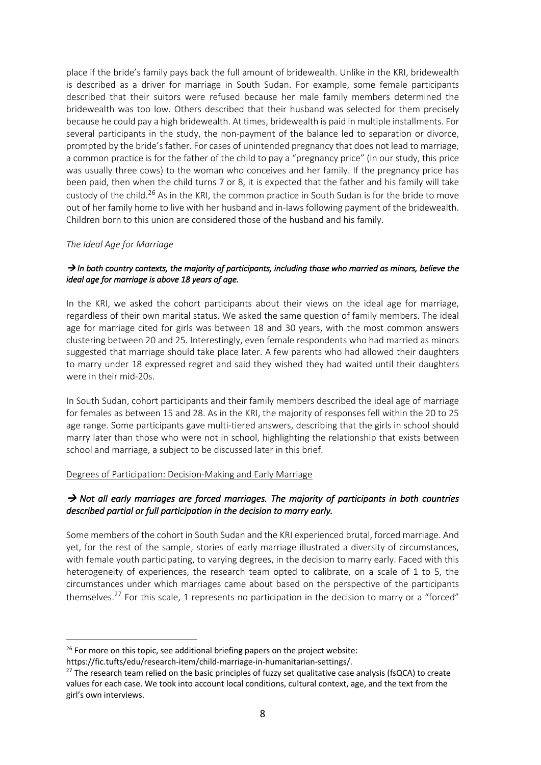place if the bride's family pays back the full amount of bridewealth. Unlike in the KRI, bridewealth is described as a driver for marriage in South Sudan. For example, some female participants described that their suitors were refused because her male family members determined the bridewealth was too low. Others described that their husband was selected for them precisely because he could pay a high bridewealth. At times, bridewealth is paid in multiple installments. For several participants in the study, the non-payment of the balance led to separation or divorce, prompted by the bride's father. For cases of unintended pregnancy that does not lead to marriage, a common practice is for the father of the child to pay a "pregnancy price" (in our study, this price was usually three cows) to the woman who conceives and her family. If the pregnancy price has been paid, then when the child turns 7 or 8, it is expected that the father and his family will take custody of the child.<sup>26</sup> As in the KRI, the common practice in South Sudan is for the bride to move out of her family home to live with her husband and in-laws following payment of the bridewealth. Children born to this union are considered those of the husband and his family.

## *The Ideal Age for Marriage*

## $\rightarrow$  In both country contexts, the majority of participants, including those who married as minors, believe the *ideal age for marriage is above 18 years of age.*

In the KRI, we asked the cohort participants about their views on the ideal age for marriage, regardless of their own marital status. We asked the same question of family members. The ideal age for marriage cited for girls was between 18 and 30 years, with the most common answers clustering between 20 and 25. Interestingly, even female respondents who had married as minors suggested that marriage should take place later. A few parents who had allowed their daughters to marry under 18 expressed regret and said they wished they had waited until their daughters were in their mid-20s.

In South Sudan, cohort participants and their family members described the ideal age of marriage for females as between 15 and 28. As in the KRI, the majority of responses fell within the 20 to 25 age range. Some participants gave multi-tiered answers, describing that the girls in school should marry later than those who were not in school, highlighting the relationship that exists between school and marriage, a subject to be discussed later in this brief.

### Degrees of Participation: Decision-Making and Early Marriage

# → Not all early marriages are forced marriages. The majority of participants in both countries *described partial or full participation in the decision to marry early.*

Some members of the cohort in South Sudan and the KRI experienced brutal, forced marriage. And yet, for the rest of the sample, stories of early marriage illustrated a diversity of circumstances, with female youth participating, to varying degrees, in the decision to marry early. Faced with this heterogeneity of experiences, the research team opted to calibrate, on a scale of 1 to 5, the circumstances under which marriages came about based on the perspective of the participants themselves.<sup>27</sup> For this scale, 1 represents no participation in the decision to marry or a "forced"

 $26$  For more on this topic, see additional briefing papers on the project website:

https://fic.tufts/edu/research-item/child-marriage-in-humanitarian-settings/.

 $27$  The research team relied on the basic principles of fuzzy set qualitative case analysis (fsQCA) to create values for each case. We took into account local conditions, cultural context, age, and the text from the girl's own interviews.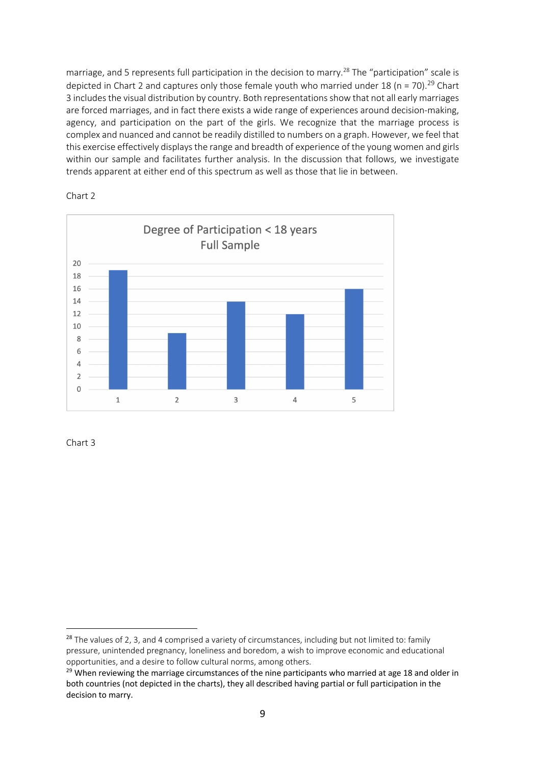marriage, and 5 represents full participation in the decision to marry.<sup>28</sup> The "participation" scale is depicted in Chart 2 and captures only those female youth who married under 18 (n = 70).<sup>29</sup> Chart 3 includes the visual distribution by country. Both representations show that not all early marriages are forced marriages, and in fact there exists a wide range of experiences around decision-making, agency, and participation on the part of the girls. We recognize that the marriage process is complex and nuanced and cannot be readily distilled to numbers on a graph. However, we feel that this exercise effectively displays the range and breadth of experience of the young women and girls within our sample and facilitates further analysis. In the discussion that follows, we investigate trends apparent at either end of this spectrum as well as those that lie in between.



Chart 2

Chart 3

 $28$  The values of 2, 3, and 4 comprised a variety of circumstances, including but not limited to: family pressure, unintended pregnancy, loneliness and boredom, a wish to improve economic and educational opportunities, and a desire to follow cultural norms, among others.

 $29$  When reviewing the marriage circumstances of the nine participants who married at age 18 and older in both countries (not depicted in the charts), they all described having partial or full participation in the decision to marry.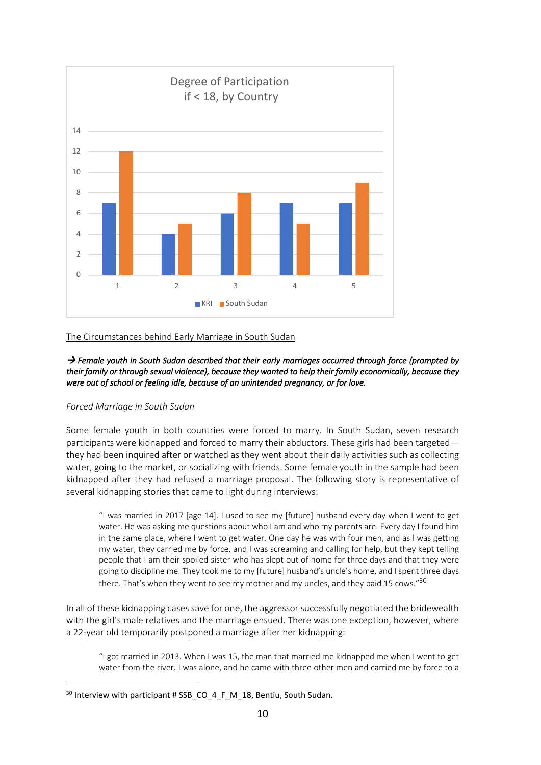

## The Circumstances behind Early Marriage in South Sudan

→ Female youth in South Sudan described that their early marriages occurred through force (prompted by *their family or through sexual violence), because they wanted to help their family economically, because they were out of school or feeling idle, because of an unintended pregnancy, or for love.* 

### *Forced Marriage in South Sudan*

Some female youth in both countries were forced to marry. In South Sudan, seven research participants were kidnapped and forced to marry their abductors. These girls had been targeted they had been inquired after or watched as they went about their daily activities such as collecting water, going to the market, or socializing with friends. Some female youth in the sample had been kidnapped after they had refused a marriage proposal. The following story is representative of several kidnapping stories that came to light during interviews:

"I was married in 2017 [age 14]. I used to see my [future] husband every day when I went to get water. He was asking me questions about who I am and who my parents are. Every day I found him in the same place, where I went to get water. One day he was with four men, and as I was getting my water, they carried me by force, and I was screaming and calling for help, but they kept telling people that I am their spoiled sister who has slept out of home for three days and that they were going to discipline me. They took me to my [future] husband's uncle's home, and I spent three days there. That's when they went to see my mother and my uncles, and they paid 15 cows."<sup>30</sup>

In all of these kidnapping cases save for one, the aggressor successfully negotiated the bridewealth with the girl's male relatives and the marriage ensued. There was one exception, however, where a 22-year old temporarily postponed a marriage after her kidnapping:

"I got married in 2013. When I was 15, the man that married me kidnapped me when I went to get water from the river. I was alone, and he came with three other men and carried me by force to a

<sup>&</sup>lt;sup>30</sup> Interview with participant # SSB\_CO\_4\_F\_M\_18, Bentiu, South Sudan.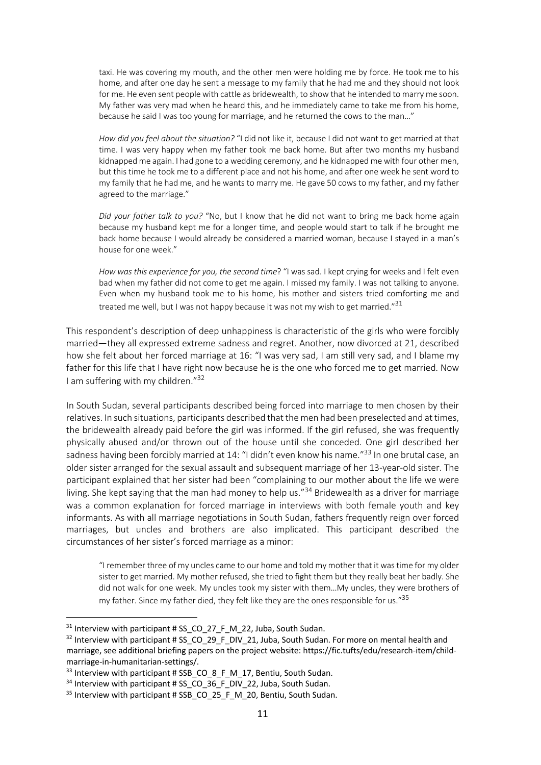taxi. He was covering my mouth, and the other men were holding me by force. He took me to his home, and after one day he sent a message to my family that he had me and they should not look for me. He even sent people with cattle as bridewealth, to show that he intended to marry me soon. My father was very mad when he heard this, and he immediately came to take me from his home, because he said I was too young for marriage, and he returned the cows to the man..."

*How did you feel about the situation?* "I did not like it, because I did not want to get married at that time. I was very happy when my father took me back home. But after two months my husband kidnapped me again. I had gone to a wedding ceremony, and he kidnapped me with four other men, but this time he took me to a different place and not his home, and after one week he sent word to my family that he had me, and he wants to marry me. He gave 50 cows to my father, and my father agreed to the marriage."

*Did your father talk to you?* "No, but I know that he did not want to bring me back home again because my husband kept me for a longer time, and people would start to talk if he brought me back home because I would already be considered a married woman, because I stayed in a man's house for one week."

*How was this experience for you, the second time*? "I was sad. I kept crying for weeks and I felt even bad when my father did not come to get me again. I missed my family. I was not talking to anyone. Even when my husband took me to his home, his mother and sisters tried comforting me and treated me well, but I was not happy because it was not my wish to get married."<sup>31</sup>

This respondent's description of deep unhappiness is characteristic of the girls who were forcibly married—they all expressed extreme sadness and regret. Another, now divorced at 21, described how she felt about her forced marriage at 16: "I was very sad, I am still very sad, and I blame my father for this life that I have right now because he is the one who forced me to get married. Now I am suffering with my children." $32$ 

In South Sudan, several participants described being forced into marriage to men chosen by their relatives. In such situations, participants described that the men had been preselected and at times, the bridewealth already paid before the girl was informed. If the girl refused, she was frequently physically abused and/or thrown out of the house until she conceded. One girl described her sadness having been forcibly married at 14: "I didn't even know his name."<sup>33</sup> In one brutal case, an older sister arranged for the sexual assault and subsequent marriage of her 13-year-old sister. The participant explained that her sister had been "complaining to our mother about the life we were living. She kept saying that the man had money to help us."<sup>34</sup> Bridewealth as a driver for marriage was a common explanation for forced marriage in interviews with both female youth and key informants. As with all marriage negotiations in South Sudan, fathers frequently reign over forced marriages, but uncles and brothers are also implicated. This participant described the circumstances of her sister's forced marriage as a minor:

"I remember three of my uncles came to our home and told my mother that it was time for my older sister to get married. My mother refused, she tried to fight them but they really beat her badly. She did not walk for one week. My uncles took my sister with them…My uncles, they were brothers of my father. Since my father died, they felt like they are the ones responsible for us."<sup>35</sup>

 $31$  Interview with participant # SS CO 27 F M 22, Juba, South Sudan.

 $32$  Interview with participant # SS\_CO\_29\_F\_DIV\_21, Juba, South Sudan. For more on mental health and marriage, see additional briefing papers on the project website: https://fic.tufts/edu/research-item/childmarriage-in-humanitarian-settings/.

 $33$  Interview with participant # SSB CO 8 F M 17, Bentiu, South Sudan.

 $34$  Interview with participant # SS CO 36 F DIV 22, Juba, South Sudan.

<sup>&</sup>lt;sup>35</sup> Interview with participant # SSB\_CO\_25\_F\_M\_20, Bentiu, South Sudan.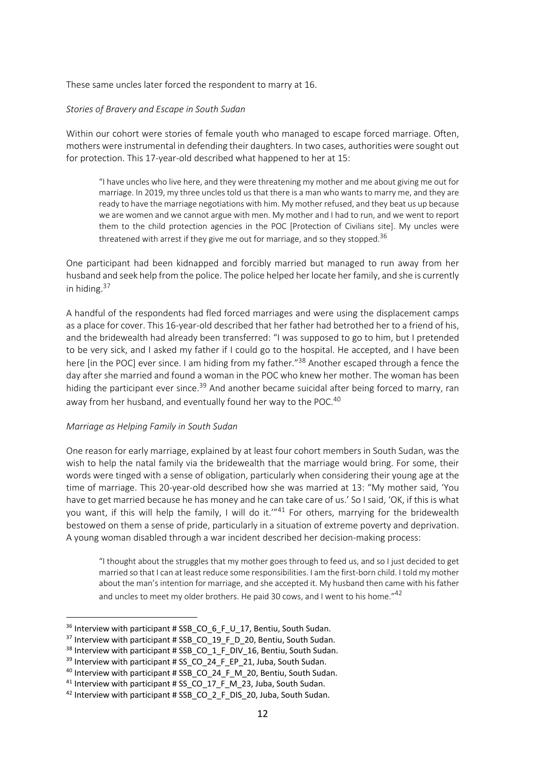These same uncles later forced the respondent to marry at 16.

#### *Stories of Bravery and Escape in South Sudan*

Within our cohort were stories of female youth who managed to escape forced marriage. Often, mothers were instrumental in defending their daughters. In two cases, authorities were sought out for protection. This 17-year-old described what happened to her at 15:

"I have uncles who live here, and they were threatening my mother and me about giving me out for marriage. In 2019, my three uncles told us that there is a man who wants to marry me, and they are ready to have the marriage negotiations with him. My mother refused, and they beat us up because we are women and we cannot argue with men. My mother and I had to run, and we went to report them to the child protection agencies in the POC [Protection of Civilians site]. My uncles were threatened with arrest if they give me out for marriage, and so they stopped.<sup>36</sup>

One participant had been kidnapped and forcibly married but managed to run away from her husband and seek help from the police. The police helped her locate her family, and she is currently in hiding.<sup>37</sup>

A handful of the respondents had fled forced marriages and were using the displacement camps as a place for cover. This 16-year-old described that her father had betrothed her to a friend of his, and the bridewealth had already been transferred: "I was supposed to go to him, but I pretended to be very sick, and I asked my father if I could go to the hospital. He accepted, and I have been here [in the POC] ever since. I am hiding from my father."<sup>38</sup> Another escaped through a fence the day after she married and found a woman in the POC who knew her mother. The woman has been hiding the participant ever since.<sup>39</sup> And another became suicidal after being forced to marry, ran away from her husband, and eventually found her way to the POC.<sup>40</sup>

### *Marriage as Helping Family in South Sudan*

One reason for early marriage, explained by at least four cohort members in South Sudan, was the wish to help the natal family via the bridewealth that the marriage would bring. For some, their words were tinged with a sense of obligation, particularly when considering their young age at the time of marriage. This 20-year-old described how she was married at 13: "My mother said, 'You have to get married because he has money and he can take care of us.' So I said, 'OK, if this is what you want, if this will help the family. I will do it."<sup>41</sup> For others, marrying for the bridewealth bestowed on them a sense of pride, particularly in a situation of extreme poverty and deprivation. A young woman disabled through a war incident described her decision-making process:

"I thought about the struggles that my mother goes through to feed us, and so I just decided to get married so that I can at least reduce some responsibilities. I am the first-born child. I told my mother about the man's intention for marriage, and she accepted it. My husband then came with his father and uncles to meet my older brothers. He paid 30 cows, and I went to his home."<sup>42</sup>

<sup>&</sup>lt;sup>36</sup> Interview with participant # SSB\_CO\_6\_F\_U\_17, Bentiu, South Sudan.

 $37$  Interview with participant # SSB\_CO\_19\_F\_D\_20, Bentiu, South Sudan.

<sup>&</sup>lt;sup>38</sup> Interview with participant # SSB\_CO\_1\_F\_DIV\_16, Bentiu, South Sudan.

 $39$  Interview with participant # SS CO 24 F EP 21, Juba, South Sudan.

<sup>40</sup> Interview with participant # SSB\_CO\_24\_F\_M\_20, Bentiu, South Sudan.

<sup>&</sup>lt;sup>41</sup> Interview with participant # SS CO  $17$  F M 23, Juba, South Sudan.

<sup>&</sup>lt;sup>42</sup> Interview with participant # SSB\_CO\_2\_F\_DIS\_20, Juba, South Sudan.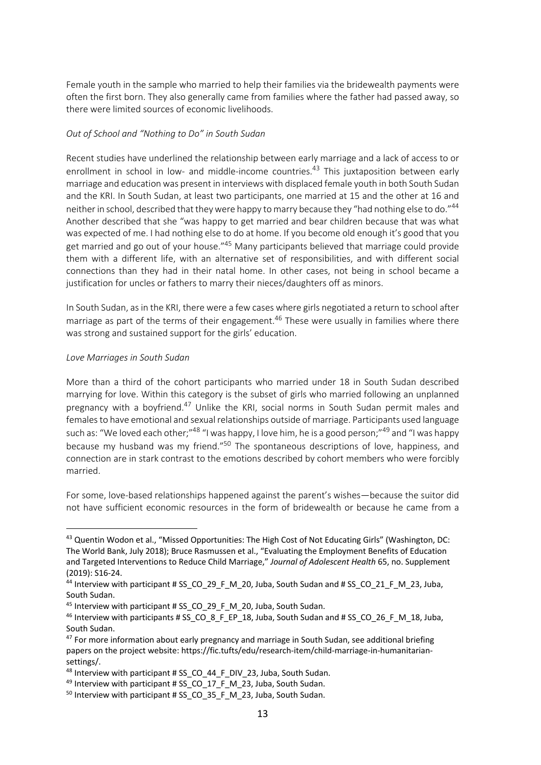Female youth in the sample who married to help their families via the bridewealth payments were often the first born. They also generally came from families where the father had passed away, so there were limited sources of economic livelihoods.

## *Out of School and "Nothing to Do" in South Sudan*

Recent studies have underlined the relationship between early marriage and a lack of access to or enrollment in school in low- and middle-income countries.<sup>43</sup> This juxtaposition between early marriage and education was present in interviews with displaced female youth in both South Sudan and the KRI. In South Sudan, at least two participants, one married at 15 and the other at 16 and neither in school, described that they were happy to marry because they "had nothing else to do."44 Another described that she "was happy to get married and bear children because that was what was expected of me. I had nothing else to do at home. If you become old enough it's good that you get married and go out of your house."<sup>45</sup> Many participants believed that marriage could provide them with a different life, with an alternative set of responsibilities, and with different social connections than they had in their natal home. In other cases, not being in school became a justification for uncles or fathers to marry their nieces/daughters off as minors.

In South Sudan, as in the KRI, there were a few cases where girls negotiated a return to school after marriage as part of the terms of their engagement.<sup>46</sup> These were usually in families where there was strong and sustained support for the girls' education.

## *Love Marriages in South Sudan*

More than a third of the cohort participants who married under 18 in South Sudan described marrying for love. Within this category is the subset of girls who married following an unplanned pregnancy with a boyfriend.<sup>47</sup> Unlike the KRI, social norms in South Sudan permit males and females to have emotional and sexual relationships outside of marriage. Participants used language such as: "We loved each other;"48 "I was happy, I love him, he is a good person;"49 and "I was happy because my husband was my friend."50 The spontaneous descriptions of love, happiness, and connection are in stark contrast to the emotions described by cohort members who were forcibly married.

For some, love-based relationships happened against the parent's wishes—because the suitor did not have sufficient economic resources in the form of bridewealth or because he came from a

<sup>43</sup> Quentin Wodon et al., "Missed Opportunities: The High Cost of Not Educating Girls" (Washington, DC: The World Bank, July 2018); Bruce Rasmussen et al., "Evaluating the Employment Benefits of Education and Targeted Interventions to Reduce Child Marriage," *Journal of Adolescent Health* 65, no. Supplement (2019): S16-24.

<sup>&</sup>lt;sup>44</sup> Interview with participant # SS\_CO\_29\_F\_M\_20, Juba, South Sudan and # SS\_CO\_21\_F\_M\_23, Juba, South Sudan.

 $45$  Interview with participant # SS CO 29 F M 20, Juba, South Sudan.

<sup>&</sup>lt;sup>46</sup> Interview with participants # SS\_CO\_8\_F\_EP\_18, Juba, South Sudan and # SS\_CO\_26\_F\_M\_18, Juba, South Sudan.

 $47$  For more information about early pregnancy and marriage in South Sudan, see additional briefing papers on the project website: https://fic.tufts/edu/research-item/child-marriage-in-humanitariansettings/.

<sup>&</sup>lt;sup>48</sup> Interview with participant # SS\_CO\_44\_F\_DIV\_23, Juba, South Sudan.

 $49$  Interview with participant # SS CO 17 F M 23, Juba, South Sudan.

<sup>50</sup> Interview with participant # SS\_CO\_35\_F\_M\_23, Juba, South Sudan.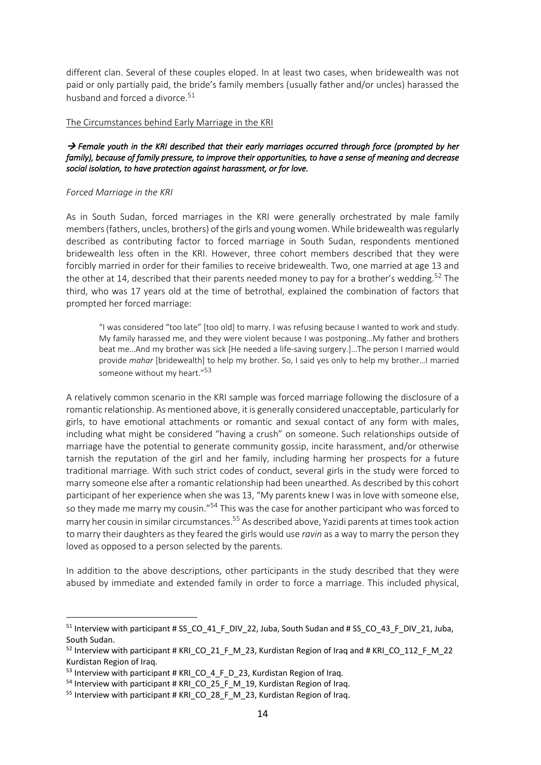different clan. Several of these couples eloped. In at least two cases, when bridewealth was not paid or only partially paid, the bride's family members (usually father and/or uncles) harassed the husband and forced a divorce.<sup>51</sup>

#### The Circumstances behind Early Marriage in the KRI

### → Female youth in the KRI described that their early marriages occurred through force (prompted by her *family), because of family pressure, to improve their opportunities, to have a sense of meaning and decrease social isolation, to have protection against harassment, or for love.*

#### *Forced Marriage in the KRI*

As in South Sudan, forced marriages in the KRI were generally orchestrated by male family members (fathers, uncles, brothers) of the girls and young women. While bridewealth was regularly described as contributing factor to forced marriage in South Sudan, respondents mentioned bridewealth less often in the KRI. However, three cohort members described that they were forcibly married in order for their families to receive bridewealth. Two, one married at age 13 and the other at 14, described that their parents needed money to pay for a brother's wedding.<sup>52</sup> The third, who was 17 years old at the time of betrothal, explained the combination of factors that prompted her forced marriage:

"I was considered "too late" [too old] to marry. I was refusing because I wanted to work and study. My family harassed me, and they were violent because I was postponing…My father and brothers beat me…And my brother was sick [He needed a life-saving surgery.]…The person I married would provide *mahar* [bridewealth] to help my brother. So, I said yes only to help my brother…I married someone without my heart."<sup>53</sup>

A relatively common scenario in the KRI sample was forced marriage following the disclosure of a romantic relationship. As mentioned above, it is generally considered unacceptable, particularly for girls, to have emotional attachments or romantic and sexual contact of any form with males, including what might be considered "having a crush" on someone. Such relationships outside of marriage have the potential to generate community gossip, incite harassment, and/or otherwise tarnish the reputation of the girl and her family, including harming her prospects for a future traditional marriage. With such strict codes of conduct, several girls in the study were forced to marry someone else after a romantic relationship had been unearthed. As described by this cohort participant of her experience when she was 13, "My parents knew I was in love with someone else, so they made me marry my cousin."<sup>54</sup> This was the case for another participant who was forced to marry her cousin in similar circumstances. <sup>55</sup> As described above, Yazidi parents at times took action to marry their daughters as they feared the girls would use *ravin* as a way to marry the person they loved as opposed to a person selected by the parents.

In addition to the above descriptions, other participants in the study described that they were abused by immediate and extended family in order to force a marriage. This included physical,

 $51$  Interview with participant # SS\_CO\_41\_F\_DIV\_22, Juba, South Sudan and # SS\_CO\_43\_F\_DIV\_21, Juba, South Sudan.

<sup>&</sup>lt;sup>52</sup> Interview with participant # KRI\_CO\_21\_F\_M\_23, Kurdistan Region of Iraq and # KRI\_CO\_112\_F\_M\_22 Kurdistan Region of Iraq.

 $53$  Interview with participant # KRI CO 4 F D 23, Kurdistan Region of Iraq.

<sup>&</sup>lt;sup>54</sup> Interview with participant # KRI\_CO\_25\_F\_M\_19, Kurdistan Region of Iraq.<br><sup>55</sup> Interview with participant # KRI\_CO\_28\_F\_M\_23, Kurdistan Region of Iraq.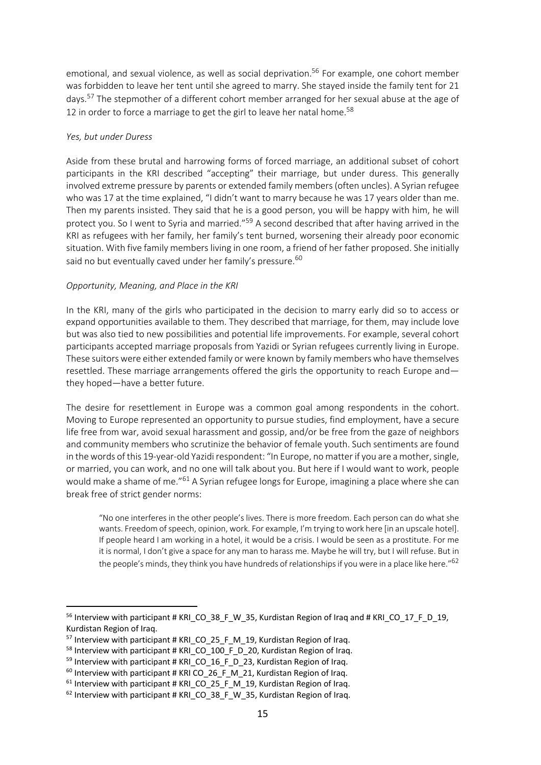emotional, and sexual violence, as well as social deprivation.<sup>56</sup> For example, one cohort member was forbidden to leave her tent until she agreed to marry. She stayed inside the family tent for 21 days.<sup>57</sup> The stepmother of a different cohort member arranged for her sexual abuse at the age of 12 in order to force a marriage to get the girl to leave her natal home.<sup>58</sup>

### *Yes, but under Duress*

Aside from these brutal and harrowing forms of forced marriage, an additional subset of cohort participants in the KRI described "accepting" their marriage, but under duress. This generally involved extreme pressure by parents or extended family members (often uncles). A Syrian refugee who was 17 at the time explained, "I didn't want to marry because he was 17 years older than me. Then my parents insisted. They said that he is a good person, you will be happy with him, he will protect you. So I went to Syria and married."<sup>59</sup> A second described that after having arrived in the KRI as refugees with her family, her family's tent burned, worsening their already poor economic situation. With five family members living in one room, a friend of her father proposed. She initially said no but eventually caved under her family's pressure.<sup>60</sup>

#### *Opportunity, Meaning, and Place in the KRI*

In the KRI, many of the girls who participated in the decision to marry early did so to access or expand opportunities available to them. They described that marriage, for them, may include love but was also tied to new possibilities and potential life improvements. For example, several cohort participants accepted marriage proposals from Yazidi or Syrian refugees currently living in Europe. These suitors were either extended family or were known by family members who have themselves resettled. These marriage arrangements offered the girls the opportunity to reach Europe and they hoped—have a better future.

The desire for resettlement in Europe was a common goal among respondents in the cohort. Moving to Europe represented an opportunity to pursue studies, find employment, have a secure life free from war, avoid sexual harassment and gossip, and/or be free from the gaze of neighbors and community members who scrutinize the behavior of female youth. Such sentiments are found in the words of this 19-year-old Yazidi respondent: "In Europe, no matter if you are a mother, single, or married, you can work, and no one will talk about you. But here if I would want to work, people would make a shame of me."<sup>61</sup> A Syrian refugee longs for Europe, imagining a place where she can break free of strict gender norms:

"No one interferes in the other people's lives. There is more freedom. Each person can do what she wants. Freedom of speech, opinion, work. For example, I'm trying to work here [in an upscale hotel]. If people heard I am working in a hotel, it would be a crisis. I would be seen as a prostitute. For me it is normal, I don't give a space for any man to harass me. Maybe he will try, but I will refuse. But in the people's minds, they think you have hundreds of relationships if you were in a place like here."<sup>62</sup>

<sup>&</sup>lt;sup>56</sup> Interview with participant # KRI CO 38 F W 35, Kurdistan Region of Iraq and # KRI CO 17 F D 19, Kurdistan Region of Iraq.

<sup>&</sup>lt;sup>57</sup> Interview with participant # KRI\_CO\_25\_F\_M\_19, Kurdistan Region of Iraq.<br><sup>58</sup> Interview with participant # KRI\_CO\_100\_F\_D\_20, Kurdistan Region of Iraq.<br><sup>59</sup> Interview with participant # KRI\_CO\_16\_F\_D\_23, Kurdistan Re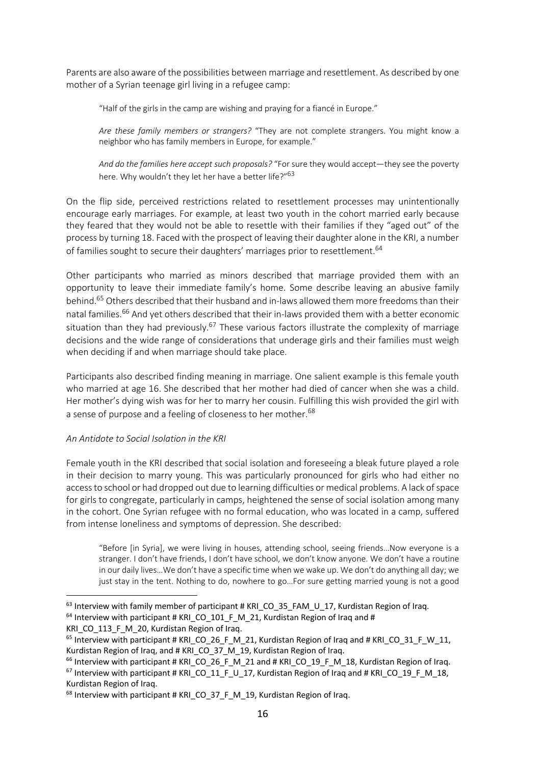Parents are also aware of the possibilities between marriage and resettlement. As described by one mother of a Syrian teenage girl living in a refugee camp:

"Half of the girls in the camp are wishing and praying for a fiancé in Europe."

*Are these family members or strangers?* "They are not complete strangers. You might know a neighbor who has family members in Europe, for example."

*And do the families here accept such proposals?* "For sure they would accept—they see the poverty here. Why wouldn't they let her have a better life?"<sup>63</sup>

On the flip side, perceived restrictions related to resettlement processes may unintentionally encourage early marriages. For example, at least two youth in the cohort married early because they feared that they would not be able to resettle with their families if they "aged out" of the process by turning 18. Faced with the prospect of leaving their daughter alone in the KRI, a number of families sought to secure their daughters' marriages prior to resettlement.<sup>64</sup>

Other participants who married as minors described that marriage provided them with an opportunity to leave their immediate family's home. Some describe leaving an abusive family behind. <sup>65</sup> Others described that their husband and in-laws allowed them more freedoms than their natal families.<sup>66</sup> And vet others described that their in-laws provided them with a better economic situation than they had previously.<sup>67</sup> These various factors illustrate the complexity of marriage decisions and the wide range of considerations that underage girls and their families must weigh when deciding if and when marriage should take place.

Participants also described finding meaning in marriage. One salient example is this female youth who married at age 16. She described that her mother had died of cancer when she was a child. Her mother's dying wish was for her to marry her cousin. Fulfilling this wish provided the girl with a sense of purpose and a feeling of closeness to her mother.<sup>68</sup>

### *An Antidote to Social Isolation in the KRI*

Female youth in the KRI described that social isolation and foreseeing a bleak future played a role in their decision to marry young. This was particularly pronounced for girls who had either no access to school or had dropped out due to learning difficulties or medical problems. A lack of space for girls to congregate, particularly in camps, heightened the sense of social isolation among many in the cohort. One Syrian refugee with no formal education, who was located in a camp, suffered from intense loneliness and symptoms of depression. She described:

"Before [in Syria], we were living in houses, attending school, seeing friends…Now everyone is a stranger. I don't have friends, I don't have school, we don't know anyone. We don't have a routine in our daily lives…We don't have a specific time when we wake up. We don't do anything all day; we just stay in the tent. Nothing to do, nowhere to go…For sure getting married young is not a good

<sup>&</sup>lt;sup>63</sup> Interview with family member of participant # KRI\_CO\_35\_FAM\_U\_17, Kurdistan Region of Iraq.  $64$  Interview with participant # KRI CO 101 F M 21, Kurdistan Region of Iraq and #

KRI CO 113 F M 20, Kurdistan Region of Iraq.

<sup>&</sup>lt;sup>65</sup> Interview with participant # KRI\_CO\_26\_F\_M\_21, Kurdistan Region of Iraq and # KRI\_CO\_31\_F\_W\_11, Kurdistan Region of Iraq, and # KRI\_CO\_37\_M\_19, Kurdistan Region of Iraq.

 $<sup>66</sup>$  Interview with participant # KRI\_CO\_26\_F\_M\_21 and # KRI\_CO\_19\_F\_M\_18, Kurdistan Region of Iraq.</sup>  $67$  Interview with participant # KRI CO 11 F U 17, Kurdistan Region of Iraq and # KRI CO 19 F M 18, Kurdistan Region of Iraq.

<sup>&</sup>lt;sup>68</sup> Interview with participant # KRI\_CO\_37\_F\_M\_19, Kurdistan Region of Iraq.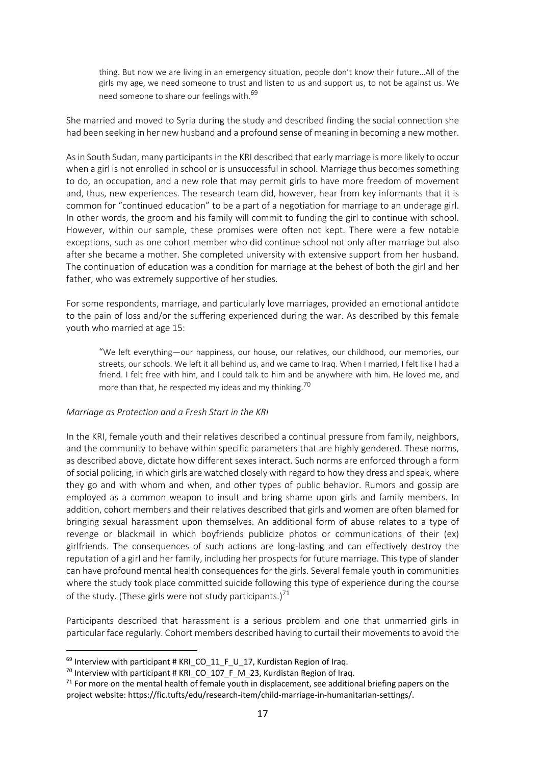thing. But now we are living in an emergency situation, people don't know their future…All of the girls my age, we need someone to trust and listen to us and support us, to not be against us. We need someone to share our feelings with.<sup>69</sup>

She married and moved to Syria during the study and described finding the social connection she had been seeking in her new husband and a profound sense of meaning in becoming a new mother.

As in South Sudan, many participants in the KRI described that early marriage is more likely to occur when a girl is not enrolled in school or is unsuccessful in school. Marriage thus becomes something to do, an occupation, and a new role that may permit girls to have more freedom of movement and, thus, new experiences. The research team did, however, hear from key informants that it is common for "continued education" to be a part of a negotiation for marriage to an underage girl. In other words, the groom and his family will commit to funding the girl to continue with school. However, within our sample, these promises were often not kept. There were a few notable exceptions, such as one cohort member who did continue school not only after marriage but also after she became a mother. She completed university with extensive support from her husband. The continuation of education was a condition for marriage at the behest of both the girl and her father, who was extremely supportive of her studies.

For some respondents, marriage, and particularly love marriages, provided an emotional antidote to the pain of loss and/or the suffering experienced during the war. As described by this female youth who married at age 15:

"We left everything—our happiness, our house, our relatives, our childhood, our memories, our streets, our schools. We left it all behind us, and we came to Iraq. When I married, I felt like I had a friend. I felt free with him, and I could talk to him and be anywhere with him. He loved me, and more than that, he respected my ideas and my thinking.<sup>70</sup>

### *Marriage as Protection and a Fresh Start in the KRI*

In the KRI, female youth and their relatives described a continual pressure from family, neighbors, and the community to behave within specific parameters that are highly gendered. These norms, as described above, dictate how different sexes interact. Such norms are enforced through a form of social policing, in which girls are watched closely with regard to how they dress and speak, where they go and with whom and when, and other types of public behavior. Rumors and gossip are employed as a common weapon to insult and bring shame upon girls and family members. In addition, cohort members and their relatives described that girls and women are often blamed for bringing sexual harassment upon themselves. An additional form of abuse relates to a type of revenge or blackmail in which boyfriends publicize photos or communications of their (ex) girlfriends. The consequences of such actions are long-lasting and can effectively destroy the reputation of a girl and her family, including her prospects for future marriage. This type of slander can have profound mental health consequences for the girls. Several female youth in communities where the study took place committed suicide following this type of experience during the course of the study. (These girls were not study participants.)<sup>71</sup>

Participants described that harassment is a serious problem and one that unmarried girls in particular face regularly. Cohort members described having to curtail their movements to avoid the

 $69$  Interview with participant # KRI CO 11 F U 17, Kurdistan Region of Irag.

<sup>&</sup>lt;sup>70</sup> Interview with participant # KRI\_CO\_107\_F\_M\_23, Kurdistan Region of Iraq.

 $71$  For more on the mental health of female youth in displacement, see additional briefing papers on the project website: https://fic.tufts/edu/research-item/child-marriage-in-humanitarian-settings/.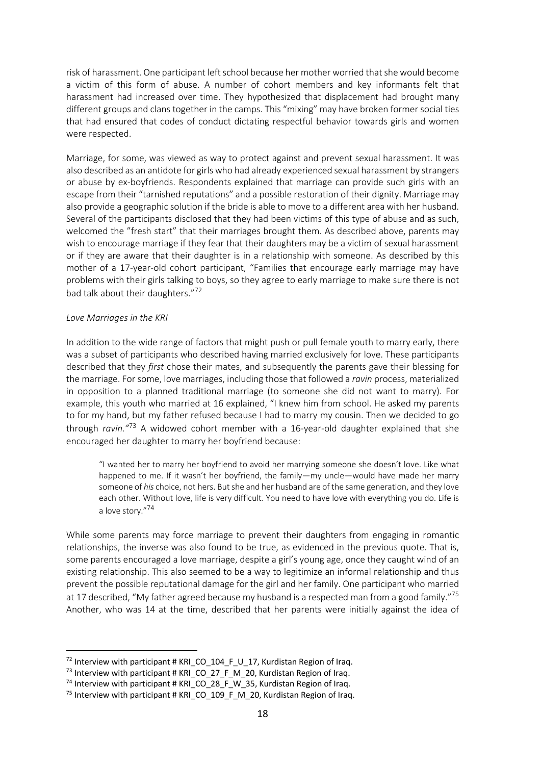risk of harassment. One participant left school because her mother worried that she would become a victim of this form of abuse. A number of cohort members and key informants felt that harassment had increased over time. They hypothesized that displacement had brought many different groups and clans together in the camps. This "mixing" may have broken former social ties that had ensured that codes of conduct dictating respectful behavior towards girls and women were respected.

Marriage, for some, was viewed as way to protect against and prevent sexual harassment. It was also described as an antidote for girls who had already experienced sexual harassment by strangers or abuse by ex-boyfriends. Respondents explained that marriage can provide such girls with an escape from their "tarnished reputations" and a possible restoration of their dignity. Marriage may also provide a geographic solution if the bride is able to move to a different area with her husband. Several of the participants disclosed that they had been victims of this type of abuse and as such, welcomed the "fresh start" that their marriages brought them. As described above, parents may wish to encourage marriage if they fear that their daughters may be a victim of sexual harassment or if they are aware that their daughter is in a relationship with someone. As described by this mother of a 17-year-old cohort participant, "Families that encourage early marriage may have problems with their girls talking to boys, so they agree to early marriage to make sure there is not bad talk about their daughters."72

#### *Love Marriages in the KRI*

In addition to the wide range of factors that might push or pull female youth to marry early, there was a subset of participants who described having married exclusively for love. These participants described that they *first* chose their mates, and subsequently the parents gave their blessing for the marriage. For some, love marriages, including those that followed a *ravin* process, materialized in opposition to a planned traditional marriage (to someone she did not want to marry). For example, this youth who married at 16 explained, "I knew him from school. He asked my parents to for my hand, but my father refused because I had to marry my cousin. Then we decided to go through *ravin."*<sup>73</sup> A widowed cohort member with a 16-year-old daughter explained that she encouraged her daughter to marry her boyfriend because:

"I wanted her to marry her boyfriend to avoid her marrying someone she doesn't love. Like what happened to me. If it wasn't her boyfriend, the family—my uncle—would have made her marry someone of *his* choice, not hers. But she and her husband are of the same generation, and they love each other. Without love, life is very difficult. You need to have love with everything you do. Life is a love story."<sup>74</sup>

While some parents may force marriage to prevent their daughters from engaging in romantic relationships, the inverse was also found to be true, as evidenced in the previous quote. That is, some parents encouraged a love marriage, despite a girl's young age, once they caught wind of an existing relationship. This also seemed to be a way to legitimize an informal relationship and thus prevent the possible reputational damage for the girl and her family. One participant who married at 17 described, "My father agreed because my husband is a respected man from a good family."<sup>75</sup> Another, who was 14 at the time, described that her parents were initially against the idea of

 $72$  Interview with participant # KRI CO 104 F U 17, Kurdistan Region of Iraq.

<sup>73</sup> Interview with participant # KRI\_CO\_27\_F\_M\_20, Kurdistan Region of Iraq.

<sup>&</sup>lt;sup>74</sup> Interview with participant # KRI\_CO\_28\_F\_W\_35, Kurdistan Region of Iraq.

<sup>&</sup>lt;sup>75</sup> Interview with participant # KRI\_CO\_109\_F\_M\_20, Kurdistan Region of Iraq.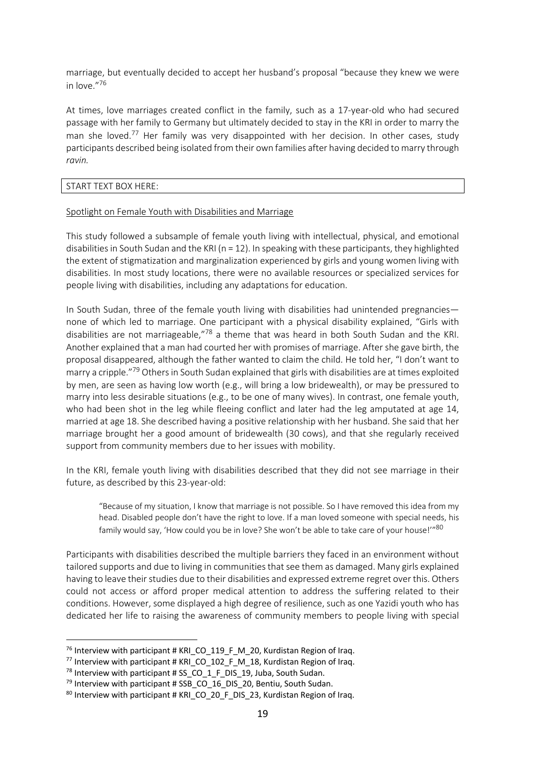marriage, but eventually decided to accept her husband's proposal "because they knew we were in love."76

At times, love marriages created conflict in the family, such as a 17-year-old who had secured passage with her family to Germany but ultimately decided to stay in the KRI in order to marry the man she loved.<sup>77</sup> Her family was very disappointed with her decision. In other cases, study participants described being isolated from their own families after having decided to marry through *ravin.* 

#### START TEXT BOX HERE:

### Spotlight on Female Youth with Disabilities and Marriage

This study followed a subsample of female youth living with intellectual, physical, and emotional disabilities in South Sudan and the KRI ( $n = 12$ ). In speaking with these participants, they highlighted the extent of stigmatization and marginalization experienced by girls and young women living with disabilities. In most study locations, there were no available resources or specialized services for people living with disabilities, including any adaptations for education.

In South Sudan, three of the female youth living with disabilities had unintended pregnancies none of which led to marriage. One participant with a physical disability explained, "Girls with disabilities are not marriageable,"78 a theme that was heard in both South Sudan and the KRI. Another explained that a man had courted her with promises of marriage. After she gave birth, the proposal disappeared, although the father wanted to claim the child. He told her, "I don't want to marry a cripple."79 Others in South Sudan explained that girls with disabilities are at times exploited by men, are seen as having low worth (e.g., will bring a low bridewealth), or may be pressured to marry into less desirable situations (e.g., to be one of many wives). In contrast, one female youth, who had been shot in the leg while fleeing conflict and later had the leg amputated at age 14, married at age 18. She described having a positive relationship with her husband. She said that her marriage brought her a good amount of bridewealth (30 cows), and that she regularly received support from community members due to her issues with mobility.

In the KRI, female youth living with disabilities described that they did not see marriage in their future, as described by this 23-year-old:

"Because of my situation, I know that marriage is not possible. So I have removed this idea from my head. Disabled people don't have the right to love. If a man loved someone with special needs, his family would say, 'How could you be in love? She won't be able to take care of your house!'"<sup>80</sup>

Participants with disabilities described the multiple barriers they faced in an environment without tailored supports and due to living in communities that see them as damaged. Many girls explained having to leave their studies due to their disabilities and expressed extreme regret over this. Others could not access or afford proper medical attention to address the suffering related to their conditions. However, some displayed a high degree of resilience, such as one Yazidi youth who has dedicated her life to raising the awareness of community members to people living with special

 $76$  Interview with participant # KRI CO 119 F M 20, Kurdistan Region of Iraq.

<sup>&</sup>lt;sup>77</sup> Interview with participant # KRI CO 102 F M 18, Kurdistan Region of Iraq.

 $78$  Interview with participant # SS CO 1 F DIS 19, Juba, South Sudan.

<sup>&</sup>lt;sup>79</sup> Interview with participant # SSB\_CO\_16\_DIS\_20, Bentiu, South Sudan.<br><sup>80</sup> Interview with participant # KRI\_CO\_20\_F\_DIS\_23, Kurdistan Region of Iraq.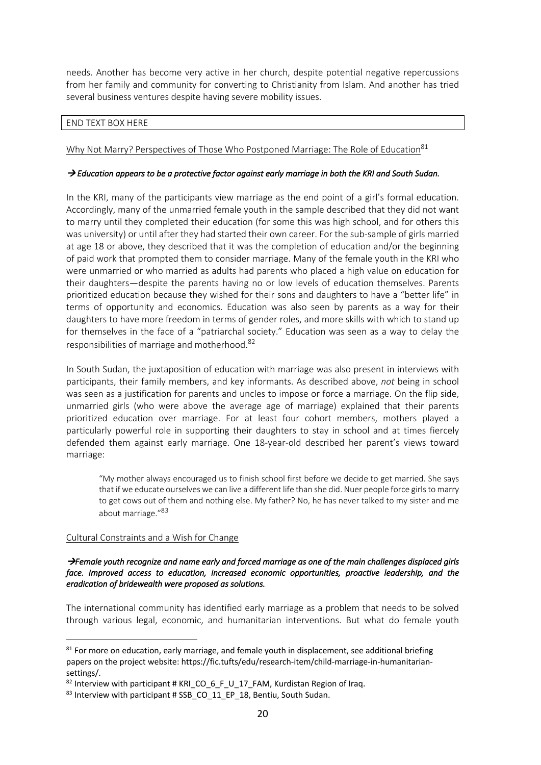needs. Another has become very active in her church, despite potential negative repercussions from her family and community for converting to Christianity from Islam. And another has tried several business ventures despite having severe mobility issues.

### END TEXT BOX HERE

## Why Not Marry? Perspectives of Those Who Postponed Marriage: The Role of Education<sup>81</sup>

## → Education appears to be a protective factor against early marriage in both the KRI and South Sudan.

In the KRI, many of the participants view marriage as the end point of a girl's formal education. Accordingly, many of the unmarried female youth in the sample described that they did not want to marry until they completed their education (for some this was high school, and for others this was university) or until after they had started their own career. For the sub-sample of girls married at age 18 or above, they described that it was the completion of education and/or the beginning of paid work that prompted them to consider marriage. Many of the female youth in the KRI who were unmarried or who married as adults had parents who placed a high value on education for their daughters—despite the parents having no or low levels of education themselves. Parents prioritized education because they wished for their sons and daughters to have a "better life" in terms of opportunity and economics. Education was also seen by parents as a way for their daughters to have more freedom in terms of gender roles, and more skills with which to stand up for themselves in the face of a "patriarchal society." Education was seen as a way to delay the responsibilities of marriage and motherhood.<sup>82</sup>

In South Sudan, the juxtaposition of education with marriage was also present in interviews with participants, their family members, and key informants. As described above, *not* being in school was seen as a justification for parents and uncles to impose or force a marriage. On the flip side, unmarried girls (who were above the average age of marriage) explained that their parents prioritized education over marriage. For at least four cohort members, mothers played a particularly powerful role in supporting their daughters to stay in school and at times fiercely defended them against early marriage. One 18-year-old described her parent's views toward marriage:

"My mother always encouraged us to finish school first before we decide to get married. She says that if we educate ourselves we can live a different life than she did. Nuer people force girls to marry to get cows out of them and nothing else. My father? No, he has never talked to my sister and me about marriage."<sup>83</sup>

# Cultural Constraints and a Wish for Change

### à*Female youth recognize and name early and forced marriage as one of the main challenges displaced girls face. Improved access to education, increased economic opportunities, proactive leadership, and the eradication of bridewealth were proposed as solutions.*

The international community has identified early marriage as a problem that needs to be solved through various legal, economic, and humanitarian interventions. But what do female youth

 $81$  For more on education, early marriage, and female youth in displacement, see additional briefing papers on the project website: https://fic.tufts/edu/research-item/child-marriage-in-humanitariansettings/.

 $82$  Interview with participant # KRI CO 6 F U 17 FAM, Kurdistan Region of Iraq.

<sup>83</sup> Interview with participant # SSB\_CO\_11\_EP\_18, Bentiu, South Sudan.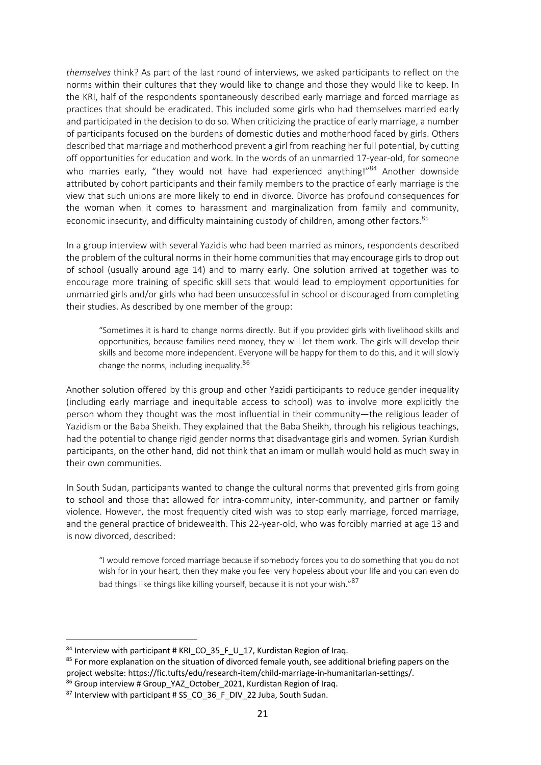*themselves* think? As part of the last round of interviews, we asked participants to reflect on the norms within their cultures that they would like to change and those they would like to keep. In the KRI, half of the respondents spontaneously described early marriage and forced marriage as practices that should be eradicated. This included some girls who had themselves married early and participated in the decision to do so. When criticizing the practice of early marriage, a number of participants focused on the burdens of domestic duties and motherhood faced by girls. Others described that marriage and motherhood prevent a girl from reaching her full potential, by cutting off opportunities for education and work. In the words of an unmarried 17-year-old, for someone who marries early, "they would not have had experienced anything!"<sup>84</sup> Another downside attributed by cohort participants and their family members to the practice of early marriage is the view that such unions are more likely to end in divorce. Divorce has profound consequences for the woman when it comes to harassment and marginalization from family and community, economic insecurity, and difficulty maintaining custody of children, among other factors.<sup>85</sup>

In a group interview with several Yazidis who had been married as minors, respondents described the problem of the cultural norms in their home communities that may encourage girls to drop out of school (usually around age 14) and to marry early. One solution arrived at together was to encourage more training of specific skill sets that would lead to employment opportunities for unmarried girls and/or girls who had been unsuccessful in school or discouraged from completing their studies. As described by one member of the group:

"Sometimes it is hard to change norms directly. But if you provided girls with livelihood skills and opportunities, because families need money, they will let them work. The girls will develop their skills and become more independent. Everyone will be happy for them to do this, and it will slowly change the norms, including inequality.<sup>86</sup>

Another solution offered by this group and other Yazidi participants to reduce gender inequality (including early marriage and inequitable access to school) was to involve more explicitly the person whom they thought was the most influential in their community—the religious leader of Yazidism or the Baba Sheikh. They explained that the Baba Sheikh, through his religious teachings, had the potential to change rigid gender norms that disadvantage girls and women. Syrian Kurdish participants, on the other hand, did not think that an imam or mullah would hold as much sway in their own communities.

In South Sudan, participants wanted to change the cultural norms that prevented girls from going to school and those that allowed for intra-community, inter-community, and partner or family violence. However, the most frequently cited wish was to stop early marriage, forced marriage, and the general practice of bridewealth. This 22-year-old, who was forcibly married at age 13 and is now divorced, described:

"I would remove forced marriage because if somebody forces you to do something that you do not wish for in your heart, then they make you feel very hopeless about your life and you can even do bad things like things like killing yourself, because it is not your wish."87

<sup>&</sup>lt;sup>84</sup> Interview with participant # KRI\_CO\_35\_F\_U\_17, Kurdistan Region of Iraq.<br><sup>85</sup> For more explanation on the situation of divorced female youth, see additional briefing papers on the project website: https://fic.tufts/edu/research-item/child-marriage-in-humanitarian-settings/.

<sup>86</sup> Group interview # Group\_YAZ\_October\_2021, Kurdistan Region of Iraq.

<sup>87</sup> Interview with participant # SS\_CO\_36\_F\_DIV\_22 Juba, South Sudan.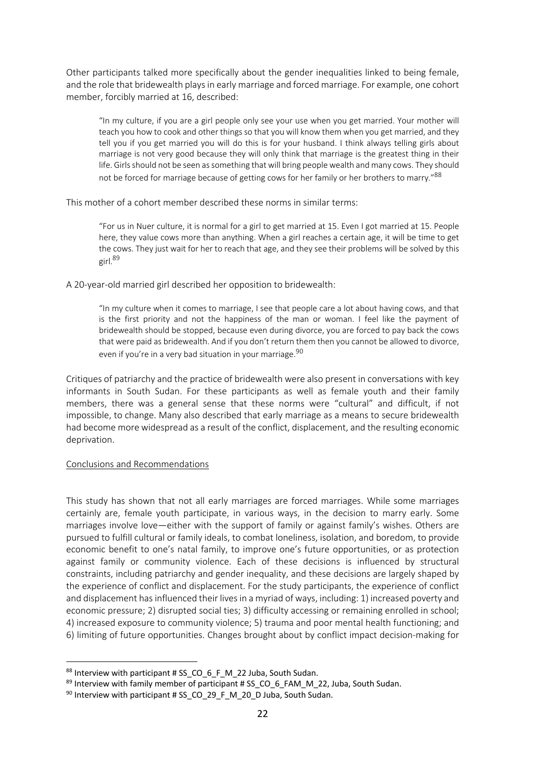Other participants talked more specifically about the gender inequalities linked to being female, and the role that bridewealth plays in early marriage and forced marriage. For example, one cohort member, forcibly married at 16, described:

"In my culture, if you are a girl people only see your use when you get married. Your mother will teach you how to cook and other things so that you will know them when you get married, and they tell you if you get married you will do this is for your husband. I think always telling girls about marriage is not very good because they will only think that marriage is the greatest thing in their life. Girls should not be seen as something that will bring people wealth and many cows. They should not be forced for marriage because of getting cows for her family or her brothers to marry."88

This mother of a cohort member described these norms in similar terms:

"For us in Nuer culture, it is normal for a girl to get married at 15. Even I got married at 15. People here, they value cows more than anything. When a girl reaches a certain age, it will be time to get the cows. They just wait for her to reach that age, and they see their problems will be solved by this girl.89

A 20-year-old married girl described her opposition to bridewealth:

"In my culture when it comes to marriage, I see that people care a lot about having cows, and that is the first priority and not the happiness of the man or woman. I feel like the payment of bridewealth should be stopped, because even during divorce, you are forced to pay back the cows that were paid as bridewealth. And if you don't return them then you cannot be allowed to divorce, even if you're in a very bad situation in your marriage. 90

Critiques of patriarchy and the practice of bridewealth were also present in conversations with key informants in South Sudan. For these participants as well as female youth and their family members, there was a general sense that these norms were "cultural" and difficult, if not impossible, to change. Many also described that early marriage as a means to secure bridewealth had become more widespread as a result of the conflict, displacement, and the resulting economic deprivation.

### Conclusions and Recommendations

This study has shown that not all early marriages are forced marriages. While some marriages certainly are, female youth participate, in various ways, in the decision to marry early. Some marriages involve love—either with the support of family or against family's wishes. Others are pursued to fulfill cultural or family ideals, to combat loneliness, isolation, and boredom, to provide economic benefit to one's natal family, to improve one's future opportunities, or as protection against family or community violence. Each of these decisions is influenced by structural constraints, including patriarchy and gender inequality, and these decisions are largely shaped by the experience of conflict and displacement. For the study participants, the experience of conflict and displacement has influenced their lives in a myriad of ways, including: 1) increased poverty and economic pressure; 2) disrupted social ties; 3) difficulty accessing or remaining enrolled in school; 4) increased exposure to community violence; 5) trauma and poor mental health functioning; and 6) limiting of future opportunities. Changes brought about by conflict impact decision-making for

<sup>88</sup> Interview with participant # SS\_CO\_6\_F\_M\_22 Juba, South Sudan.

 $89$  Interview with family member of participant # SS CO 6 FAM M 22, Juba, South Sudan.

<sup>90</sup> Interview with participant # SS\_CO\_29\_F\_M\_20\_D Juba, South Sudan.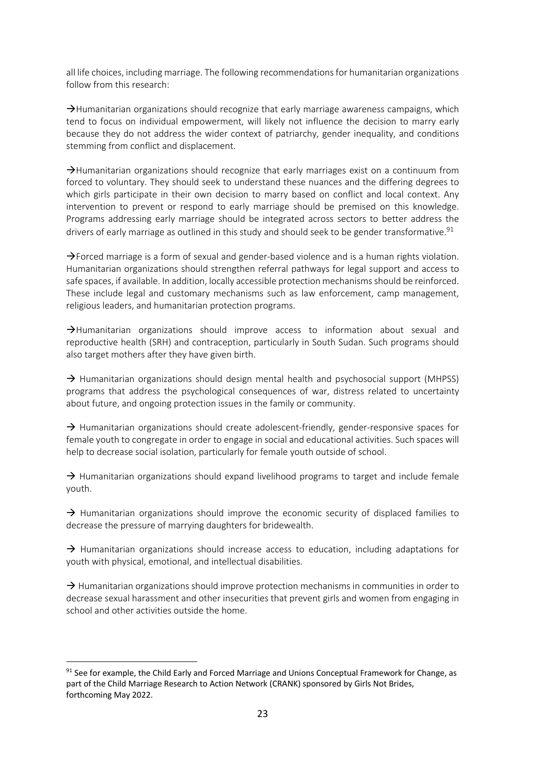all life choices, including marriage. The following recommendations for humanitarian organizations follow from this research:

 $\rightarrow$ Humanitarian organizations should recognize that early marriage awareness campaigns, which tend to focus on individual empowerment, will likely not influence the decision to marry early because they do not address the wider context of patriarchy, gender inequality, and conditions stemming from conflict and displacement.

 $\rightarrow$ Humanitarian organizations should recognize that early marriages exist on a continuum from forced to voluntary. They should seek to understand these nuances and the differing degrees to which girls participate in their own decision to marry based on conflict and local context. Any intervention to prevent or respond to early marriage should be premised on this knowledge. Programs addressing early marriage should be integrated across sectors to better address the drivers of early marriage as outlined in this study and should seek to be gender transformative.<sup>91</sup>

 $\rightarrow$  Forced marriage is a form of sexual and gender-based violence and is a human rights violation. Humanitarian organizations should strengthen referral pathways for legal support and access to safe spaces, if available. In addition, locally accessible protection mechanisms should be reinforced. These include legal and customary mechanisms such as law enforcement, camp management, religious leaders, and humanitarian protection programs.

 $\rightarrow$ Humanitarian organizations should improve access to information about sexual and reproductive health (SRH) and contraception, particularly in South Sudan. Such programs should also target mothers after they have given birth.

 $\rightarrow$  Humanitarian organizations should design mental health and psychosocial support (MHPSS) programs that address the psychological consequences of war, distress related to uncertainty about future, and ongoing protection issues in the family or community.

 $\rightarrow$  Humanitarian organizations should create adolescent-friendly, gender-responsive spaces for female youth to congregate in order to engage in social and educational activities. Such spaces will help to decrease social isolation, particularly for female youth outside of school.

 $\rightarrow$  Humanitarian organizations should expand livelihood programs to target and include female youth.

 $\rightarrow$  Humanitarian organizations should improve the economic security of displaced families to decrease the pressure of marrying daughters for bridewealth.

 $\rightarrow$  Humanitarian organizations should increase access to education, including adaptations for youth with physical, emotional, and intellectual disabilities.

 $\rightarrow$  Humanitarian organizations should improve protection mechanisms in communities in order to decrease sexual harassment and other insecurities that prevent girls and women from engaging in school and other activities outside the home.

 $91$  See for example, the Child Early and Forced Marriage and Unions Conceptual Framework for Change, as part of the Child Marriage Research to Action Network (CRANK) sponsored by Girls Not Brides, forthcoming May 2022.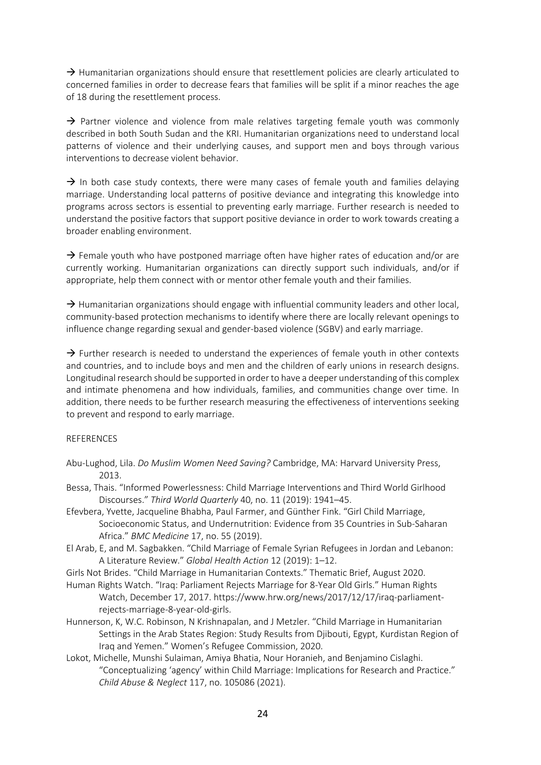$\rightarrow$  Humanitarian organizations should ensure that resettlement policies are clearly articulated to concerned families in order to decrease fears that families will be split if a minor reaches the age of 18 during the resettlement process.

 $\rightarrow$  Partner violence and violence from male relatives targeting female youth was commonly described in both South Sudan and the KRI. Humanitarian organizations need to understand local patterns of violence and their underlying causes, and support men and boys through various interventions to decrease violent behavior.

 $\rightarrow$  In both case study contexts, there were many cases of female youth and families delaying marriage. Understanding local patterns of positive deviance and integrating this knowledge into programs across sectors is essential to preventing early marriage. Further research is needed to understand the positive factors that support positive deviance in order to work towards creating a broader enabling environment.

 $\rightarrow$  Female youth who have postponed marriage often have higher rates of education and/or are currently working. Humanitarian organizations can directly support such individuals, and/or if appropriate, help them connect with or mentor other female youth and their families.

 $\rightarrow$  Humanitarian organizations should engage with influential community leaders and other local, community-based protection mechanisms to identify where there are locally relevant openings to influence change regarding sexual and gender-based violence (SGBV) and early marriage.

 $\rightarrow$  Further research is needed to understand the experiences of female youth in other contexts and countries, and to include boys and men and the children of early unions in research designs. Longitudinal research should be supported in order to have a deeper understanding of this complex and intimate phenomena and how individuals, families, and communities change over time. In addition, there needs to be further research measuring the effectiveness of interventions seeking to prevent and respond to early marriage.

### REFERENCES

- Abu-Lughod, Lila. *Do Muslim Women Need Saving?* Cambridge, MA: Harvard University Press, 2013.
- Bessa, Thais. "Informed Powerlessness: Child Marriage Interventions and Third World Girlhood Discourses." *Third World Quarterly* 40, no. 11 (2019): 1941–45.
- Efevbera, Yvette, Jacqueline Bhabha, Paul Farmer, and Günther Fink. "Girl Child Marriage, Socioeconomic Status, and Undernutrition: Evidence from 35 Countries in Sub-Saharan Africa." *BMC Medicine* 17, no. 55 (2019).
- El Arab, E, and M. Sagbakken. "Child Marriage of Female Syrian Refugees in Jordan and Lebanon: A Literature Review." *Global Health Action* 12 (2019): 1–12.
- Girls Not Brides. "Child Marriage in Humanitarian Contexts." Thematic Brief, August 2020.
- Human Rights Watch. "Iraq: Parliament Rejects Marriage for 8-Year Old Girls." Human Rights Watch, December 17, 2017. https://www.hrw.org/news/2017/12/17/iraq-parliamentrejects-marriage-8-year-old-girls.
- Hunnerson, K, W.C. Robinson, N Krishnapalan, and J Metzler. "Child Marriage in Humanitarian Settings in the Arab States Region: Study Results from Djibouti, Egypt, Kurdistan Region of Iraq and Yemen." Women's Refugee Commission, 2020.
- Lokot, Michelle, Munshi Sulaiman, Amiya Bhatia, Nour Horanieh, and Benjamino Cislaghi. "Conceptualizing 'agency' within Child Marriage: Implications for Research and Practice." *Child Abuse & Neglect* 117, no. 105086 (2021).